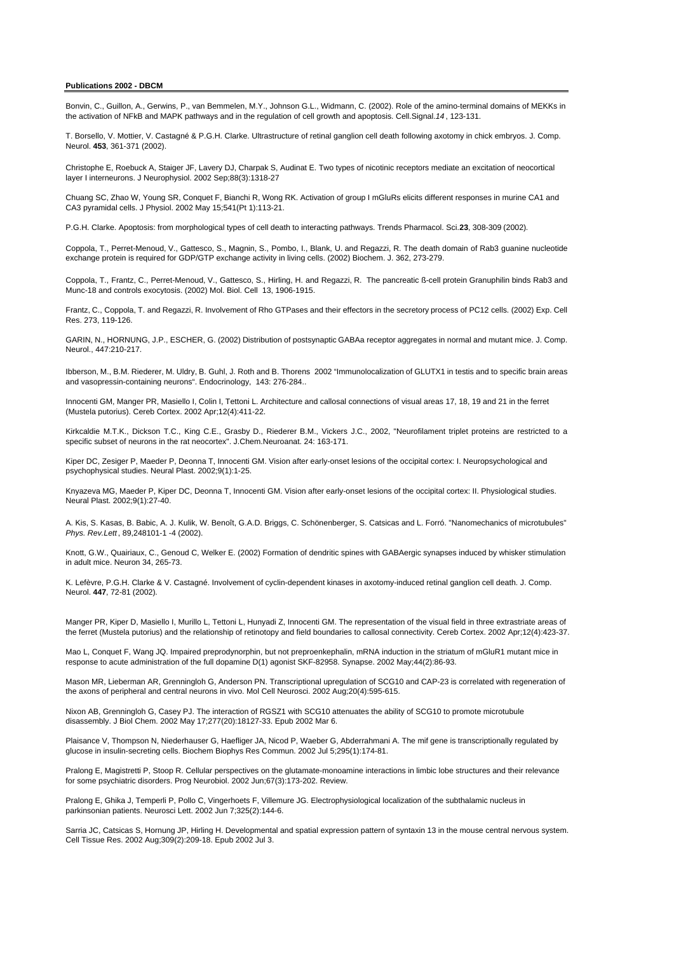## **Publications 2002 - DBCM**

Bonvin, C., Guillon, A., Gerwins, P., van Bemmelen, M.Y., Johnson G.L., Widmann, C. (2002). Role of the amino-terminal domains of MEKKs in the activation of NFkB and MAPK pathways and in the regulation of cell growth and apoptosis. Cell.Signal. *14* , 123-131.

T. Borsello, V. Mottier, V. Castagné & P.G.H. Clarke. Ultrastructure of retinal ganglion cell death following axotomy in chick embryos. J. Comp. Neurol. **453**, 361-371 (2002).

Christophe E, Roebuck A, Staiger JF, Lavery DJ, Charpak S, Audinat E. Two types of nicotinic receptors mediate an excitation of neocortical layer I interneurons. J Neurophysiol. 2002 Sep;88(3):1318-27

Chuang SC, Zhao W, Young SR, Conquet F, Bianchi R, Wong RK. Activation of group I mGluRs elicits different responses in murine CA1 and CA3 pyramidal cells. J Physiol. 2002 May 15;541(Pt 1):113-21.

P.G.H. Clarke. Apoptosis: from morphological types of cell death to interacting pathways. Trends Pharmacol. Sci. **23**, 308-309 (2002).

Coppola, T., Perret-Menoud, V., Gattesco, S., Magnin, S., Pombo, I., Blank, U. and Regazzi, R. The death domain of Rab3 guanine nucleotide exchange protein is required for GDP/GTP exchange activity in living cells. (2002) Biochem. J. 362, 273-279.

Coppola, T., Frantz, C., Perret-Menoud, V., Gattesco, S., Hirling, H. and Regazzi, R. The pancreatic ß-cell protein Granuphilin binds Rab3 and Munc-18 and controls exocytosis. (2002) Mol. Biol. Cell 13, 1906-1915.

Frantz, C., Coppola, T. and Regazzi, R. Involvement of Rho GTPases and their effectors in the secretory process of PC12 cells. (2002) Exp. Cell Res. 273, 119-126.

GARIN, N., HORNUNG, J.P., ESCHER, G. (2002) Distribution of postsynaptic GABAa receptor aggregates in normal and mutant mice. J. Comp. Neurol., 447:210-217.

Ibberson, M., B.M. Riederer, M. Uldry, B. Guhl, J. Roth and B. Thorens 2002 "Immunolocalization of GLUTX1 in testis and to specific brain areas and vasopressin-containing neurons". Endocrinology, 143: 276-284..

Innocenti GM, Manger PR, Masiello I, Colin I, Tettoni L. Architecture and callosal connections of visual areas 17, 18, 19 and 21 in the ferret (Mustela putorius). Cereb Cortex. 2002 Apr;12(4):411-22.

Kirkcaldie M.T.K., Dickson T.C., King C.E., Grasby D., Riederer B.M., Vickers J.C., 2002, "Neurofilament triplet proteins are restricted to a specific subset of neurons in the rat neocortex". J.Chem.Neuroanat. 24: 163-171.

Kiper DC, Zesiger P, Maeder P, Deonna T, Innocenti GM. Vision after early-onset lesions of the occipital cortex: I. Neuropsychological and psychophysical studies. Neural Plast. 2002;9(1):1-25.

Knyazeva MG, Maeder P, Kiper DC, Deonna T, Innocenti GM. Vision after early-onset lesions of the occipital cortex: II. Physiological studies. Neural Plast. 2002;9(1):27-40.

A. Kis, S. Kasas, B. Babic, A. J. Kulik, W. Benoît, G.A.D. Briggs, C. Schönenberger, S. Catsicas and L. Forró. "Nanomechanics of microtubules" *Phys. Rev.Lett* , 89,248101-1 -4 (2002).

Knott, G.W., Quairiaux, C., Genoud C, Welker E. (2002) Formation of dendritic spines with GABAergic synapses induced by whisker stimulation in adult mice. Neuron 34, 265-73.

K. Lefèvre, P.G.H. Clarke & V. Castagné. Involvement of cyclin-dependent kinases in axotomy-induced retinal ganglion cell death. J. Comp. Neurol. **447**, 72-81 (2002).

Manger PR, Kiper D, Masiello I, Murillo L, Tettoni L, Hunyadi Z, Innocenti GM. The representation of the visual field in three extrastriate areas of the ferret (Mustela putorius) and the relationship of retinotopy and field boundaries to callosal connectivity. Cereb Cortex. 2002 Apr;12(4):423-37.

Mao L, Conquet F, Wang JQ. Impaired preprodynorphin, but not preproenkephalin, mRNA induction in the striatum of mGluR1 mutant mice in response to acute administration of the full dopamine D(1) agonist SKF-82958. Synapse. 2002 May;44(2):86-93.

Mason MR, Lieberman AR, Grenningloh G, Anderson PN. Transcriptional upregulation of SCG10 and CAP-23 is correlated with regeneration of the axons of peripheral and central neurons in vivo. Mol Cell Neurosci. 2002 Aug;20(4):595-615.

Nixon AB, Grenningloh G, Casey PJ. The interaction of RGSZ1 with SCG10 attenuates the ability of SCG10 to promote microtubule disassembly. J Biol Chem. 2002 May 17;277(20):18127-33. Epub 2002 Mar 6.

Plaisance V, Thompson N, Niederhauser G, Haefliger JA, Nicod P, Waeber G, Abderrahmani A. The mif gene is transcriptionally regulated by glucose in insulin-secreting cells. Biochem Biophys Res Commun. 2002 Jul 5;295(1):174-81.

Pralong E, Magistretti P, Stoop R. Cellular perspectives on the glutamate-monoamine interactions in limbic lobe structures and their relevance for some psychiatric disorders. Prog Neurobiol. 2002 Jun;67(3):173-202. Review.

Pralong E, Ghika J, Temperli P, Pollo C, Vingerhoets F, Villemure JG. Electrophysiological localization of the subthalamic nucleus in parkinsonian patients. Neurosci Lett. 2002 Jun 7;325(2):144-6.

Sarria JC, Catsicas S, Hornung JP, Hirling H. Developmental and spatial expression pattern of syntaxin 13 in the mouse central nervous system. Cell Tissue Res. 2002 Aug;309(2):209-18. Epub 2002 Jul 3.